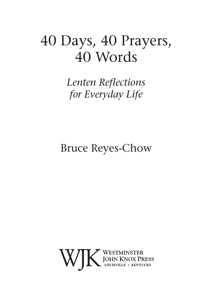# 40 Days, 40 Prayers, 40 Words

*Lenten Reflections for Everyday Life*

### Bruce Reyes-Chow

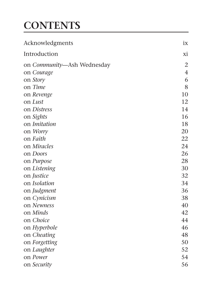## **CONTENTS**

| Acknowledgments            | ix |
|----------------------------|----|
| Introduction               | хi |
| on Community-Ash Wednesday | 2  |
| on Courage                 | 4  |
| on Story                   | 6  |
| on Time                    | 8  |
| on Revenge                 | 10 |
| on Lust                    | 12 |
| on Distress                | 14 |
| on Sights                  | 16 |
| on Imitation               | 18 |
| on Worry                   | 20 |
| on Faith                   | 22 |
| on Miracles                | 24 |
| on <i>Doors</i>            | 26 |
| on Purpose                 | 28 |
| on Listening               | 30 |
| on Justice                 | 32 |
| on <i>Isolation</i>        | 34 |
| on Judgment                | 36 |
| on Cynicism                | 38 |
| on Newness                 | 40 |
| on Minds                   | 42 |
| on Choice                  | 44 |
| on Hyperbole               | 46 |
| on Cheating                | 48 |
| on Forgetting              | 50 |
| on Laughter                | 52 |
| on Power                   | 54 |
| on Security                | 56 |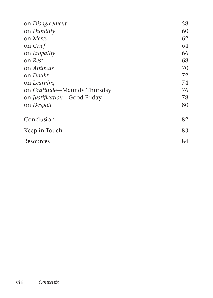| 58 |
|----|
| 60 |
| 62 |
| 64 |
| 66 |
| 68 |
| 70 |
| 72 |
| 74 |
| 76 |
| 78 |
| 80 |
| 82 |
| 83 |
| 84 |
|    |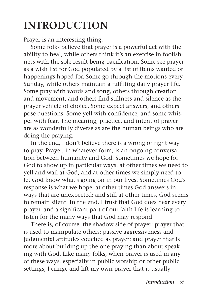## **INTRODUCTION**

Prayer is an interesting thing.

Some folks believe that prayer is a powerful act with the ability to heal, while others think it's an exercise in foolishness with the sole result being pacification. Some see prayer as a wish list for God populated by a list of items wanted or happenings hoped for. Some go through the motions every Sunday, while others maintain a fulfilling daily prayer life. Some pray with words and song, others through creation and movement, and others find stillness and silence as the prayer vehicle of choice. Some expect answers, and others pose questions. Some yell with confidence, and some whisper with fear. The meaning, practice, and intent of prayer are as wonderfully diverse as are the human beings who are doing the praying.

In the end, I don't believe there is a wrong or right way to pray. Prayer, in whatever form, is an ongoing conversation between humanity and God. Sometimes we hope for God to show up in particular ways, at other times we need to yell and wail at God, and at other times we simply need to let God know what's going on in our lives. Sometimes God's response is what we hope; at other times God answers in ways that are unexpected; and still at other times, God seems to remain silent. In the end, I trust that God does hear every prayer, and a significant part of our faith life is learning to listen for the many ways that God may respond.

There is, of course, the shadow side of prayer: prayer that is used to manipulate others; passive aggressiveness and judgmental attitudes couched as prayer; and prayer that is more about building up the one praying than about speaking with God. Like many folks, when prayer is used in any of these ways, especially in public worship or other public settings, I cringe and lift my own prayer that is usually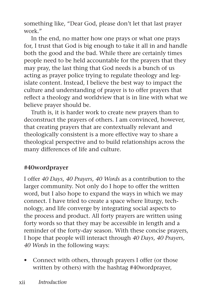something like, "Dear God, please don't let that last prayer work."

In the end, no matter how one prays or what one prays for, I trust that God is big enough to take it all in and handle both the good and the bad. While there are certainly times people need to be held accountable for the prayers that they may pray, the last thing that God needs is a bunch of us acting as prayer police trying to regulate theology and legislate content. Instead, I believe the best way to impact the culture and understanding of prayer is to offer prayers that reflect a theology and worldview that is in line with what we believe prayer should be.

Truth is, it is harder work to create new prayers than to deconstruct the prayers of others. I am convinced, however, that creating prayers that are contextually relevant and theologically consistent is a more effective way to share a theological perspective and to build relationships across the many differences of life and culture.

#### **#40wordprayer**

I offer *40 Days, 40 Prayers, 40 Words* as a contribution to the larger community. Not only do I hope to offer the written word, but I also hope to expand the ways in which we may connect. I have tried to create a space where liturgy, technology, and life converge by integrating social aspects to the process and product. All forty prayers are written using forty words so that they may be accessible in length and a reminder of the forty-day season. With these concise prayers, I hope that people will interact through *40 Days, 40 Prayers, 40 Words* in the following ways:

• Connect with others, through prayers I offer (or those written by others) with the hashtag #40wordprayer,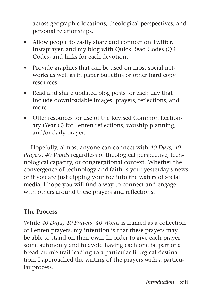across geographic locations, theological perspectives, and personal relationships.

- Allow people to easily share and connect on Twitter, Instaprayer, and my blog with Quick Read Codes (QR Codes) and links for each devotion.
- Provide graphics that can be used on most social networks as well as in paper bulletins or other hard copy resources.
- Read and share updated blog posts for each day that include downloadable images, prayers, reflections, and more.
- Offer resources for use of the Revised Common Lectionary (Year C) for Lenten reflections, worship planning, and/or daily prayer.

Hopefully, almost anyone can connect with *40 Days, 40 Prayers, 40 Words* regardless of theological perspective, technological capacity, or congregational context. Whether the convergence of technology and faith is your yesterday's news or if you are just dipping your toe into the waters of social media, I hope you will find a way to connect and engage with others around these prayers and reflections.

#### **The Process**

While *40 Days, 40 Prayers, 40 Words* is framed as a collection of Lenten prayers, my intention is that these prayers may be able to stand on their own. In order to give each prayer some autonomy and to avoid having each one be part of a bread-crumb trail leading to a particular liturgical destination, I approached the writing of the prayers with a particular process.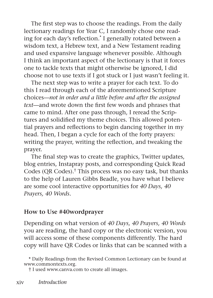The first step was to choose the readings. From the daily lectionary readings for Year C, I randomly chose one reading for each day's reflection.\* I generally rotated between a wisdom text, a Hebrew text, and a New Testament reading and used expansive language whenever possible. Although I think an important aspect of the lectionary is that it forces one to tackle texts that might otherwise be ignored, I did choose not to use texts if I got stuck or I just wasn't feeling it.

The next step was to write a prayer for each text. To do this I read through each of the aforementioned Scripture choices—*not in order and a little before and after the assigned text*—and wrote down the first few words and phrases that came to mind. After one pass through, I reread the Scriptures and solidified my theme choices. This allowed potential prayers and reflections to begin dancing together in my head. Then, I began a cycle for each of the forty prayers: writing the prayer, writing the reflection, and tweaking the prayer.

The final step was to create the graphics, Twitter updates, blog entries, Instapray posts, and corresponding Quick Read Codes (QR Codes).† This process was no easy task, but thanks to the help of Lauren Gibbs Beadle, you have what I believe are some cool interactive opportunities for *40 Days, 40 Prayers, 40 Words*.

#### **How to Use #40wordprayer**

Depending on what version of *40 Days, 40 Prayers, 40 Words* you are reading, the hard copy or the electronic version, you will access some of these components differently. The hard copy will have QR Codes or links that can be scanned with a

<sup>\*</sup> Daily Readings from the Revised Common Lectionary can be found at www.commontexts.org.

<sup>†</sup> I used www.canva.com to create all images.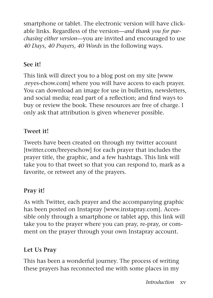smartphone or tablet. The electronic version will have clickable links. Regardless of the version—*and thank you for purchasing either version*—you are invited and encouraged to use *40 Days, 40 Prayers, 40 Words* in the following ways.

#### **See it!**

This link will direct you to a blog post on my site [www .reyes-chow.com] where you will have access to each prayer. You can download an image for use in bulletins, newsletters, and social media; read part of a reflection; and find ways to buy or review the book. These resources are free of charge. I only ask that attribution is given whenever possible.

#### **Tweet it!**

Tweets have been created on through my twitter account [twitter.com/breyeschow] for each prayer that includes the prayer title, the graphic, and a few hashtags. This link will take you to that tweet so that you can respond to, mark as a favorite, or retweet any of the prayers.

#### **Pray it!**

As with Twitter, each prayer and the accompanying graphic has been posted on Instapray [www.instapray.com]. Accessible only through a smartphone or tablet app, this link will take you to the prayer where you can pray, re-pray, or comment on the prayer through your own Instapray account.

#### **Let Us Pray**

This has been a wonderful journey. The process of writing these prayers has reconnected me with some places in my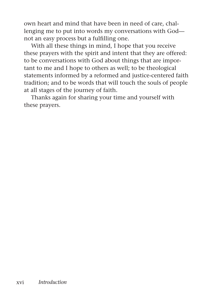own heart and mind that have been in need of care, challenging me to put into words my conversations with God not an easy process but a fulfilling one.

With all these things in mind, I hope that you receive these prayers with the spirit and intent that they are offered: to be conversations with God about things that are important to me and I hope to others as well; to be theological statements informed by a reformed and justice-centered faith tradition; and to be words that will touch the souls of people at all stages of the journey of faith.

Thanks again for sharing your time and yourself with these prayers.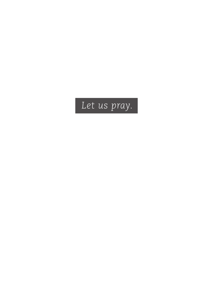## *Let us pray.*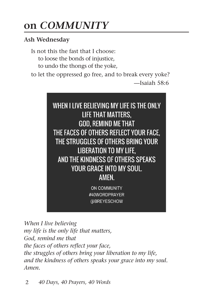### **on** *COMMUNITY*

#### **Ash Wednesday**

Is not this the fast that I choose: to loose the bonds of injustice, to undo the thongs of the yoke,

to let the oppressed go free, and to break every yoke?

—Isaiah 58:6



*When I live believing my life is the only life that matters, God, remind me that the faces of others reflect your face, the struggles of others bring your liberation to my life, and the kindness of others speaks your grace into my soul. Amen.*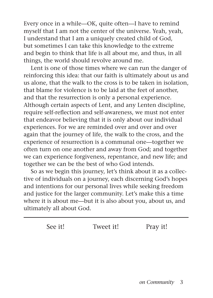Every once in a while—OK, quite often—I have to remind myself that I am not the center of the universe. Yeah, yeah, I understand that I am a uniquely created child of God, but sometimes I can take this knowledge to the extreme and begin to think that life is all about me, and thus, in all things, the world should revolve around me.

Lent is one of those times where we can run the danger of reinforcing this idea: that our faith is ultimately about us and us alone, that the walk to the cross is to be taken in isolation, that blame for violence is to be laid at the feet of another, and that the resurrection is only a personal experience. Although certain aspects of Lent, and any Lenten discipline, require self-reflection and self-awareness, we must not enter that endeavor believing that it is only about our individual experiences. For we are reminded over and over and over again that the journey of life, the walk to the cross, and the experience of resurrection is a communal one—together we often turn on one another and away from God; and together we can experience forgiveness, repentance, and new life; and together we can be the best of who God intends.

So as we begin this journey, let's think about it as a collective of individuals on a journey, each discerning God's hopes and intentions for our personal lives while seeking freedom and justice for the larger community. Let's make this a time where it is about me—but it is also about you, about us, and ultimately all about God.

| See it! | Tweet it! | Pray it! |
|---------|-----------|----------|
|         |           |          |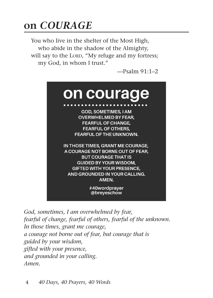### **on** *COURAGE*

You who live in the shelter of the Most High, who abide in the shadow of the Almighty, will say to the LORD, "My refuge and my fortress; my God, in whom I trust."

—Psalm 91:1–2



*God, sometimes, I am overwhelmed by fear, fearful of change, fearful of others, fearful of the unknown. In those times, grant me courage, a courage not borne out of fear, but courage that is guided by your wisdom, gifted with your presence, and grounded in your calling. Amen.*